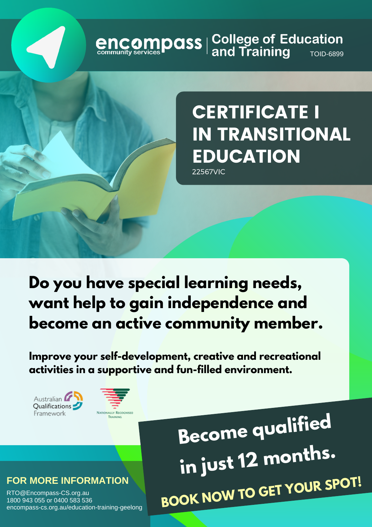# **encompass** | College of Education<br> **GRICOMPASS** | and Training



22567VIC

# **Do you have special learning needs, want help to gain independence and become an active community member.**

**Improve your self-development, creative and recreational activities in a supportive and fun-filled environment.**





**Become qualified in just <sup>12</sup> months. BOOK NOW TO GET YOUR SPOT!**

#### **FOR MORE INFORMATION**

RTO@Encompass-CS.org.au 1800 943 055 or 0400 583 536 encompass-cs.org.au/education-training-geelong